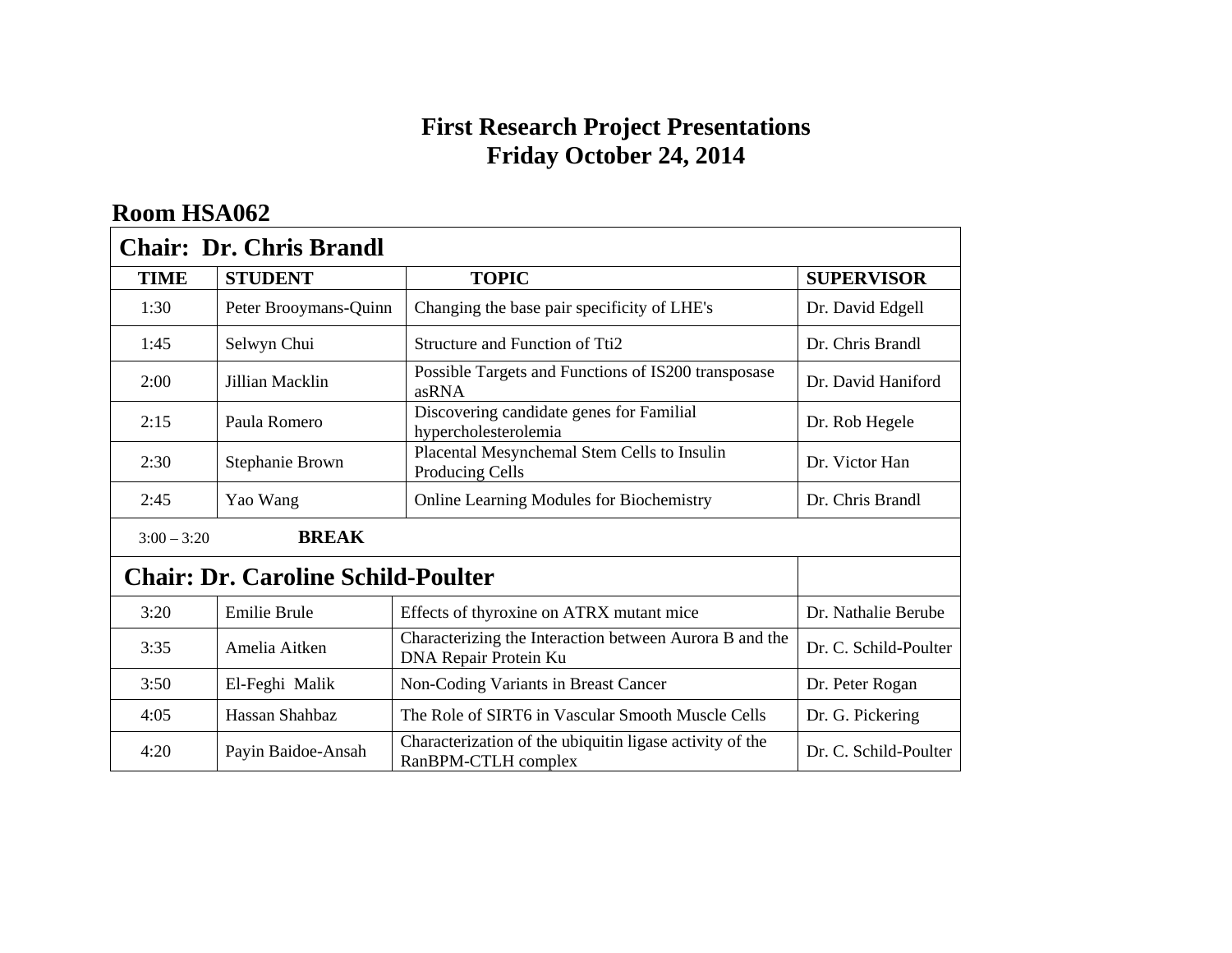#### **First Research Project Presentations Friday October 24, 2014**

| <b>Chair: Dr. Chris Brandl</b>            |                       |                                                                                  |                       |
|-------------------------------------------|-----------------------|----------------------------------------------------------------------------------|-----------------------|
| <b>TIME</b>                               | <b>STUDENT</b>        | <b>TOPIC</b>                                                                     | <b>SUPERVISOR</b>     |
| 1:30                                      | Peter Brooymans-Quinn | Changing the base pair specificity of LHE's                                      | Dr. David Edgell      |
| 1:45                                      | Selwyn Chui           | Structure and Function of Tti2                                                   | Dr. Chris Brandl      |
| 2:00                                      | Jillian Macklin       | Possible Targets and Functions of IS200 transposase<br>asRNA                     | Dr. David Haniford    |
| 2:15                                      | Paula Romero          | Discovering candidate genes for Familial<br>hypercholesterolemia                 | Dr. Rob Hegele        |
| 2:30                                      | Stephanie Brown       | Placental Mesynchemal Stem Cells to Insulin<br>Producing Cells                   | Dr. Victor Han        |
| 2:45                                      | Yao Wang              | <b>Online Learning Modules for Biochemistry</b>                                  | Dr. Chris Brandl      |
| <b>BREAK</b><br>$3:00 - 3:20$             |                       |                                                                                  |                       |
| <b>Chair: Dr. Caroline Schild-Poulter</b> |                       |                                                                                  |                       |
| 3:20                                      | <b>Emilie Brule</b>   | Effects of thyroxine on ATRX mutant mice                                         | Dr. Nathalie Berube   |
| 3:35                                      | Amelia Aitken         | Characterizing the Interaction between Aurora B and the<br>DNA Repair Protein Ku | Dr. C. Schild-Poulter |
| 3:50                                      | El-Feghi Malik        | Non-Coding Variants in Breast Cancer                                             | Dr. Peter Rogan       |
| 4:05                                      | Hassan Shahbaz        | The Role of SIRT6 in Vascular Smooth Muscle Cells                                | Dr. G. Pickering      |
| 4:20                                      | Payin Baidoe-Ansah    | Characterization of the ubiquitin ligase activity of the<br>RanBPM-CTLH complex  | Dr. C. Schild-Poulter |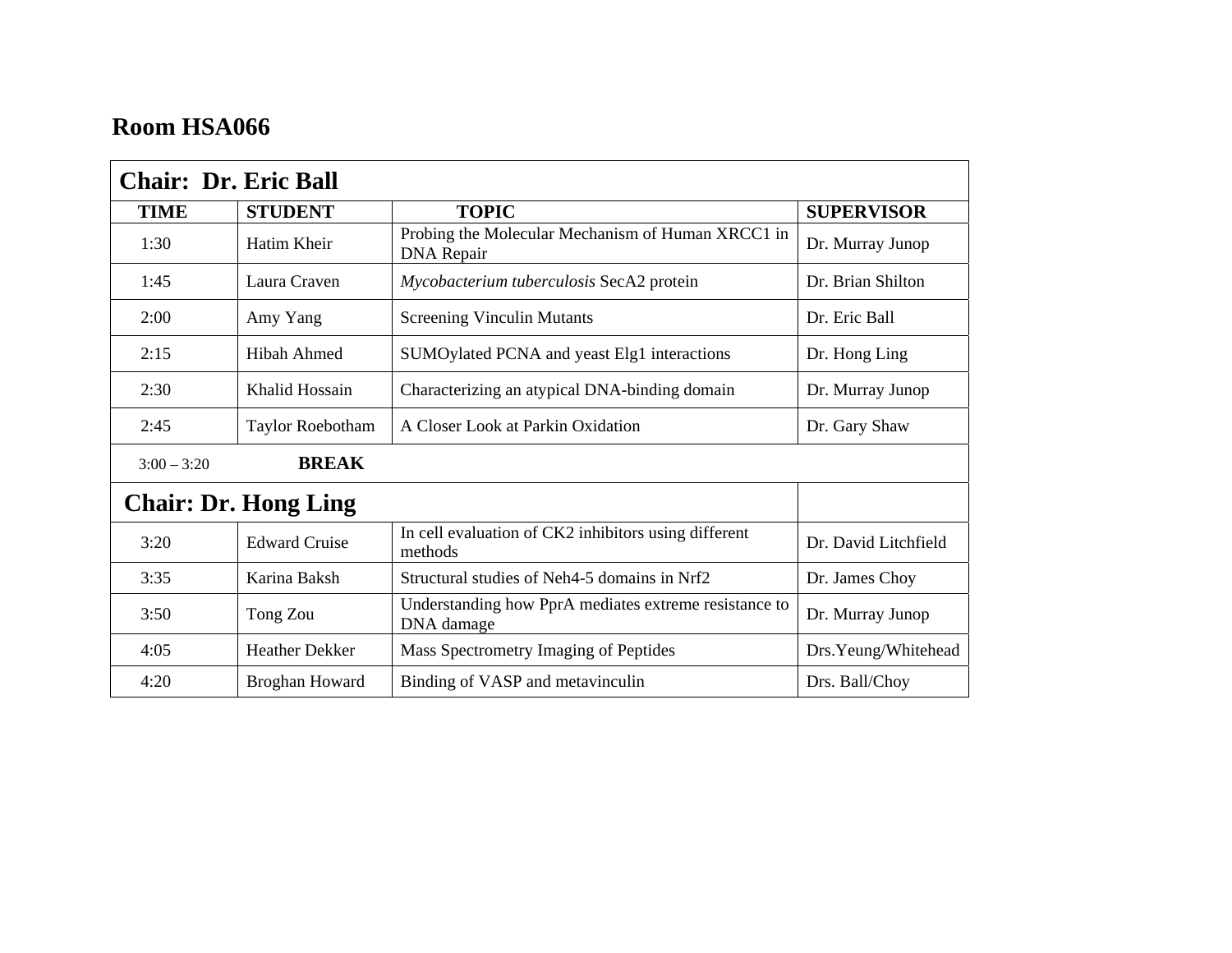| <b>Chair: Dr. Eric Ball</b> |                       |                                                                        |                      |
|-----------------------------|-----------------------|------------------------------------------------------------------------|----------------------|
| <b>TIME</b>                 | <b>STUDENT</b>        | <b>TOPIC</b>                                                           | <b>SUPERVISOR</b>    |
| 1:30                        | Hatim Kheir           | Probing the Molecular Mechanism of Human XRCC1 in<br><b>DNA</b> Repair | Dr. Murray Junop     |
| 1:45                        | Laura Craven          | Mycobacterium tuberculosis SecA2 protein                               | Dr. Brian Shilton    |
| 2:00                        | Amy Yang              | <b>Screening Vinculin Mutants</b>                                      | Dr. Eric Ball        |
| 2:15                        | Hibah Ahmed           | SUMOylated PCNA and yeast Elg1 interactions                            | Dr. Hong Ling        |
| 2:30                        | Khalid Hossain        | Characterizing an atypical DNA-binding domain                          | Dr. Murray Junop     |
| 2:45                        | Taylor Roebotham      | A Closer Look at Parkin Oxidation                                      | Dr. Gary Shaw        |
| $3:00 - 3:20$               | <b>BREAK</b>          |                                                                        |                      |
| <b>Chair: Dr. Hong Ling</b> |                       |                                                                        |                      |
| 3:20                        | <b>Edward Cruise</b>  | In cell evaluation of CK2 inhibitors using different<br>methods        | Dr. David Litchfield |
| 3:35                        | Karina Baksh          | Structural studies of Neh4-5 domains in Nrf2                           | Dr. James Choy       |
| 3:50                        | Tong Zou              | Understanding how PprA mediates extreme resistance to<br>DNA damage    | Dr. Murray Junop     |
| 4:05                        | <b>Heather Dekker</b> | Mass Spectrometry Imaging of Peptides                                  | Drs.Yeung/Whitehead  |
| 4:20                        | Broghan Howard        | Binding of VASP and metavinculin                                       | Drs. Ball/Choy       |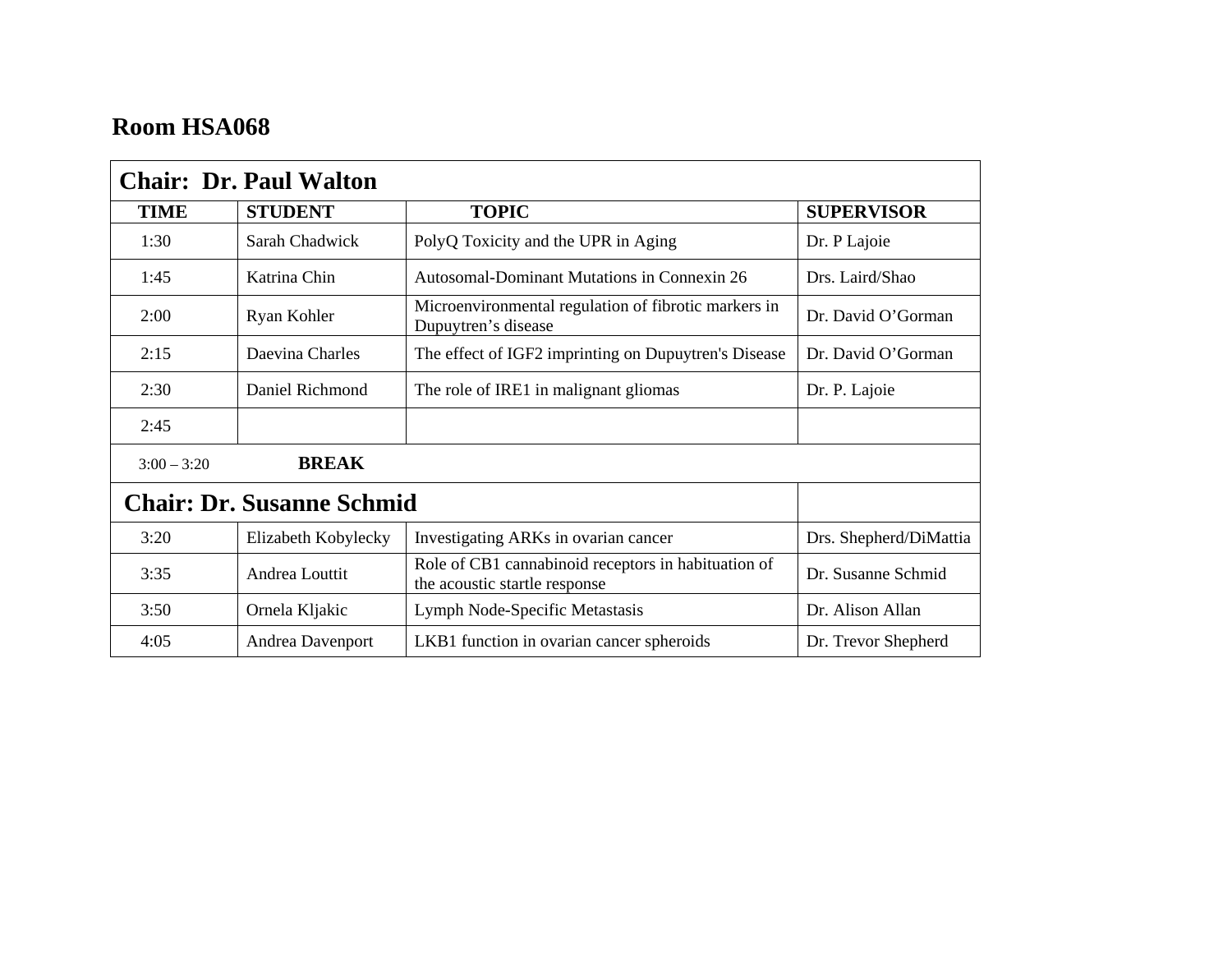| <b>Chair: Dr. Paul Walton</b>    |                     |                                                                                      |                        |
|----------------------------------|---------------------|--------------------------------------------------------------------------------------|------------------------|
| <b>TIME</b>                      | <b>STUDENT</b>      | <b>TOPIC</b>                                                                         | <b>SUPERVISOR</b>      |
| 1:30                             | Sarah Chadwick      | PolyQ Toxicity and the UPR in Aging                                                  | Dr. P Lajoie           |
| 1:45                             | Katrina Chin        | Autosomal-Dominant Mutations in Connexin 26                                          | Drs. Laird/Shao        |
| 2:00                             | Ryan Kohler         | Microenvironmental regulation of fibrotic markers in<br>Dupuytren's disease          | Dr. David O'Gorman     |
| 2:15                             | Daevina Charles     | The effect of IGF2 imprinting on Dupuytren's Disease                                 | Dr. David O'Gorman     |
| 2:30                             | Daniel Richmond     | The role of IRE1 in malignant gliomas                                                | Dr. P. Lajoie          |
| 2:45                             |                     |                                                                                      |                        |
| $3:00 - 3:20$                    | <b>BREAK</b>        |                                                                                      |                        |
| <b>Chair: Dr. Susanne Schmid</b> |                     |                                                                                      |                        |
| 3:20                             | Elizabeth Kobylecky | Investigating ARKs in ovarian cancer                                                 | Drs. Shepherd/DiMattia |
| 3:35                             | Andrea Louttit      | Role of CB1 cannabinoid receptors in habituation of<br>the acoustic startle response | Dr. Susanne Schmid     |
| 3:50                             | Ornela Kljakic      | Lymph Node-Specific Metastasis                                                       | Dr. Alison Allan       |
| 4:05                             | Andrea Davenport    | LKB1 function in ovarian cancer spheroids                                            | Dr. Trevor Shepherd    |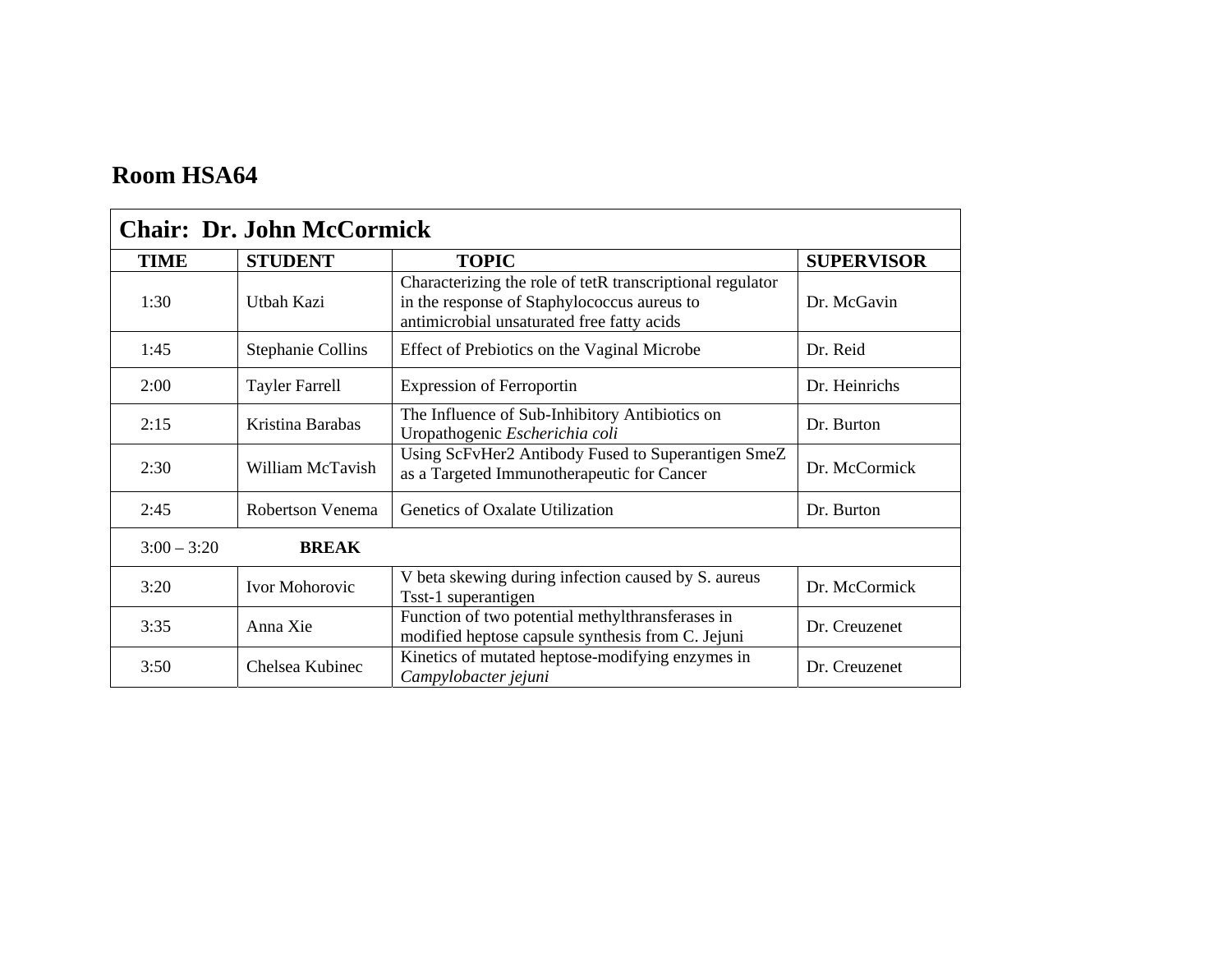| <b>Chair: Dr. John McCormick</b> |                          |                                                                                                                                                        |                   |
|----------------------------------|--------------------------|--------------------------------------------------------------------------------------------------------------------------------------------------------|-------------------|
| <b>TIME</b>                      | <b>STUDENT</b>           | <b>TOPIC</b>                                                                                                                                           | <b>SUPERVISOR</b> |
| 1:30                             | Utbah Kazi               | Characterizing the role of tetR transcriptional regulator<br>in the response of Staphylococcus aureus to<br>antimicrobial unsaturated free fatty acids | Dr. McGavin       |
| 1:45                             | <b>Stephanie Collins</b> | Effect of Prebiotics on the Vaginal Microbe                                                                                                            | Dr. Reid          |
| 2:00                             | <b>Tayler Farrell</b>    | <b>Expression of Ferroportin</b>                                                                                                                       | Dr. Heinrichs     |
| 2:15                             | Kristina Barabas         | The Influence of Sub-Inhibitory Antibiotics on<br>Uropathogenic Escherichia coli                                                                       | Dr. Burton        |
| 2:30                             | William McTavish         | Using ScFvHer2 Antibody Fused to Superantigen SmeZ<br>as a Targeted Immunotherapeutic for Cancer                                                       | Dr. McCormick     |
| 2:45                             | Robertson Venema         | Genetics of Oxalate Utilization                                                                                                                        | Dr. Burton        |
| $3:00 - 3:20$                    | <b>BREAK</b>             |                                                                                                                                                        |                   |
| 3:20                             | Ivor Mohorovic           | V beta skewing during infection caused by S. aureus<br>Tsst-1 superantigen                                                                             | Dr. McCormick     |
| 3:35                             | Anna Xie                 | Function of two potential methylthransferases in<br>modified heptose capsule synthesis from C. Jejuni                                                  | Dr. Creuzenet     |
| 3:50                             | Chelsea Kubinec          | Kinetics of mutated heptose-modifying enzymes in<br>Campylobacter jejuni                                                                               | Dr. Creuzenet     |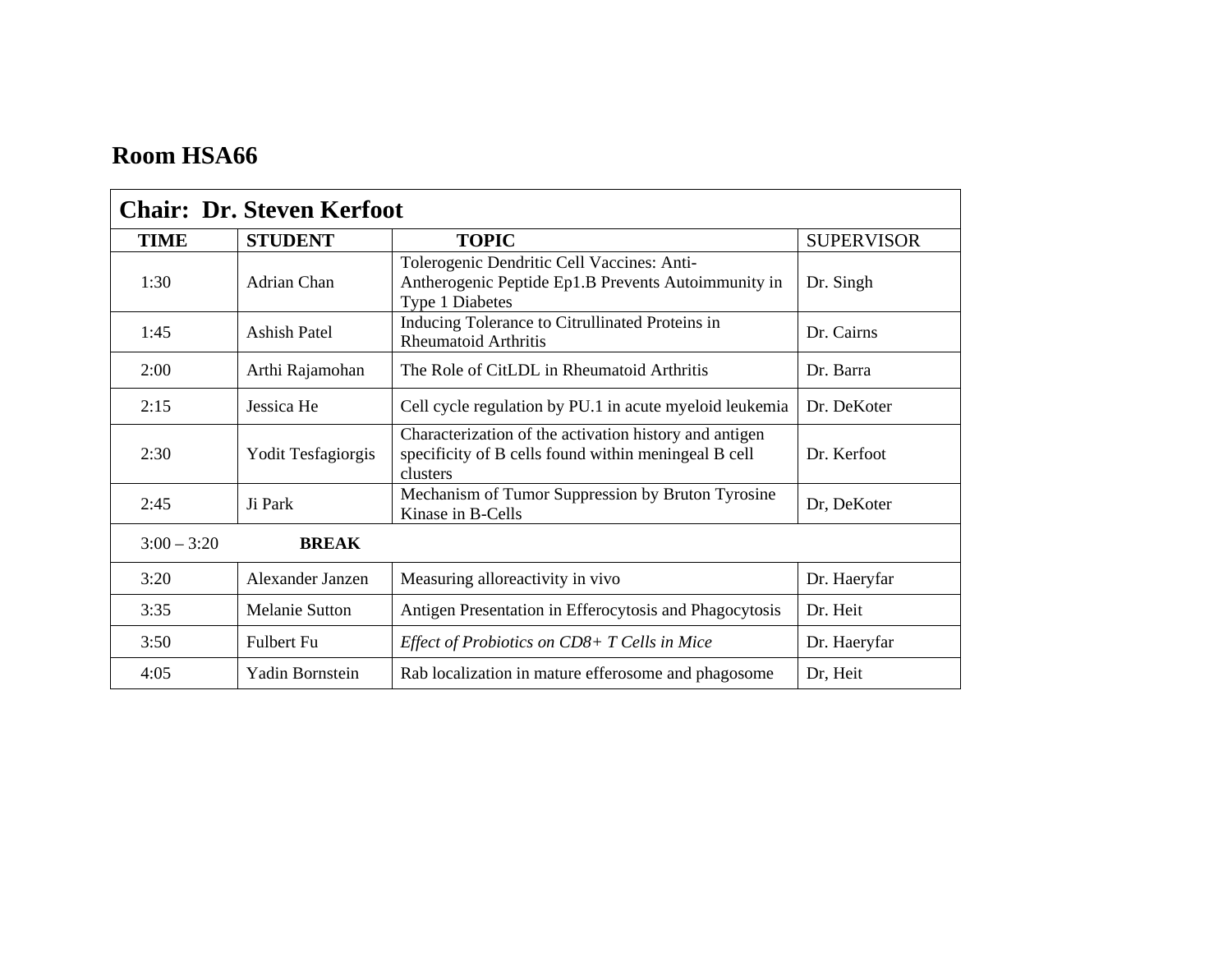| <b>Chair: Dr. Steven Kerfoot</b> |                       |                                                                                                                            |                   |
|----------------------------------|-----------------------|----------------------------------------------------------------------------------------------------------------------------|-------------------|
| <b>TIME</b>                      | <b>STUDENT</b>        | <b>TOPIC</b>                                                                                                               | <b>SUPERVISOR</b> |
| 1:30                             | Adrian Chan           | Tolerogenic Dendritic Cell Vaccines: Anti-<br>Antherogenic Peptide Ep1.B Prevents Autoimmunity in<br>Type 1 Diabetes       | Dr. Singh         |
| 1:45                             | <b>Ashish Patel</b>   | Inducing Tolerance to Citrullinated Proteins in<br><b>Rheumatoid Arthritis</b>                                             | Dr. Cairns        |
| 2:00                             | Arthi Rajamohan       | The Role of CitLDL in Rheumatoid Arthritis                                                                                 | Dr. Barra         |
| 2:15                             | Jessica He            | Cell cycle regulation by PU.1 in acute myeloid leukemia                                                                    | Dr. DeKoter       |
| 2:30                             | Yodit Tesfagiorgis    | Characterization of the activation history and antigen<br>specificity of B cells found within meningeal B cell<br>clusters | Dr. Kerfoot       |
| 2:45                             | Ji Park               | Mechanism of Tumor Suppression by Bruton Tyrosine<br>Kinase in B-Cells                                                     | Dr, DeKoter       |
| $3:00 - 3:20$                    | <b>BREAK</b>          |                                                                                                                            |                   |
| 3:20                             | Alexander Janzen      | Measuring alloreactivity in vivo                                                                                           | Dr. Haeryfar      |
| 3:35                             | <b>Melanie Sutton</b> | Antigen Presentation in Efferocytosis and Phagocytosis                                                                     | Dr. Heit          |
| 3:50                             | <b>Fulbert Fu</b>     | Effect of Probiotics on CD8+ T Cells in Mice                                                                               | Dr. Haeryfar      |
| 4:05                             | Yadin Bornstein       | Rab localization in mature efferosome and phagosome                                                                        | Dr, Heit          |